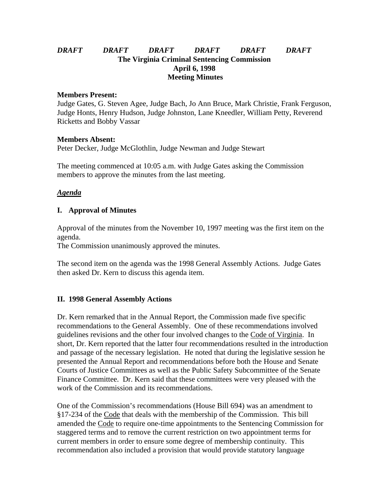# *DRAFT DRAFT DRAFT DRAFT DRAFT DRAFT* **The Virginia Criminal Sentencing Commission April 6, 1998 Meeting Minutes**

#### **Members Present:**

Judge Gates, G. Steven Agee, Judge Bach, Jo Ann Bruce, Mark Christie, Frank Ferguson*,* Judge Honts, Henry Hudson, Judge Johnston, Lane Kneedler, William Petty, Reverend Ricketts and Bobby Vassar

### **Members Absent:**

Peter Decker, Judge McGlothlin, Judge Newman and Judge Stewart

The meeting commenced at 10:05 a.m. with Judge Gates asking the Commission members to approve the minutes from the last meeting.

## *Agenda*

# **I. Approval of Minutes**

Approval of the minutes from the November 10, 1997 meeting was the first item on the agenda.

The Commission unanimously approved the minutes.

The second item on the agenda was the 1998 General Assembly Actions. Judge Gates then asked Dr. Kern to discuss this agenda item.

## **II. 1998 General Assembly Actions**

Dr. Kern remarked that in the Annual Report, the Commission made five specific recommendations to the General Assembly. One of these recommendations involved guidelines revisions and the other four involved changes to the Code of Virginia. In short, Dr. Kern reported that the latter four recommendations resulted in the introduction and passage of the necessary legislation. He noted that during the legislative session he presented the Annual Report and recommendations before both the House and Senate Courts of Justice Committees as well as the Public Safety Subcommittee of the Senate Finance Committee. Dr. Kern said that these committees were very pleased with the work of the Commission and its recommendations.

One of the Commission's recommendations (House Bill 694) was an amendment to §17-234 of the Code that deals with the membership of the Commission. This bill amended the Code to require one-time appointments to the Sentencing Commission for staggered terms and to remove the current restriction on two appointment terms for current members in order to ensure some degree of membership continuity. This recommendation also included a provision that would provide statutory language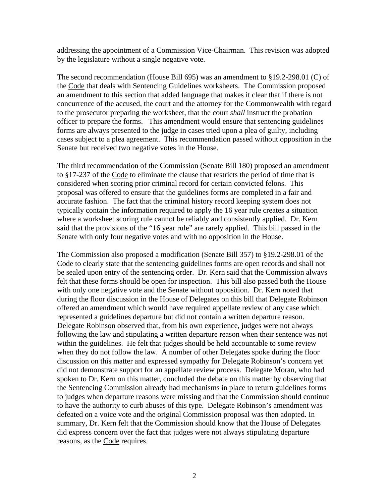addressing the appointment of a Commission Vice-Chairman. This revision was adopted by the legislature without a single negative vote.

The second recommendation (House Bill 695) was an amendment to §19.2-298.01 (C) of the Code that deals with Sentencing Guidelines worksheets. The Commission proposed an amendment to this section that added language that makes it clear that if there is not concurrence of the accused, the court and the attorney for the Commonwealth with regard to the prosecutor preparing the worksheet, that the court *shall* instruct the probation officer to prepare the forms. This amendment would ensure that sentencing guidelines forms are always presented to the judge in cases tried upon a plea of guilty, including cases subject to a plea agreement. This recommendation passed without opposition in the Senate but received two negative votes in the House.

The third recommendation of the Commission (Senate Bill 180) proposed an amendment to §17-237 of the Code to eliminate the clause that restricts the period of time that is considered when scoring prior criminal record for certain convicted felons. This proposal was offered to ensure that the guidelines forms are completed in a fair and accurate fashion. The fact that the criminal history record keeping system does not typically contain the information required to apply the 16 year rule creates a situation where a worksheet scoring rule cannot be reliably and consistently applied. Dr. Kern said that the provisions of the "16 year rule" are rarely applied. This bill passed in the Senate with only four negative votes and with no opposition in the House.

The Commission also proposed a modification (Senate Bill 357) to §19.2-298.01 of the Code to clearly state that the sentencing guidelines forms are open records and shall not be sealed upon entry of the sentencing order. Dr. Kern said that the Commission always felt that these forms should be open for inspection. This bill also passed both the House with only one negative vote and the Senate without opposition. Dr. Kern noted that during the floor discussion in the House of Delegates on this bill that Delegate Robinson offered an amendment which would have required appellate review of any case which represented a guidelines departure but did not contain a written departure reason. Delegate Robinson observed that, from his own experience, judges were not always following the law and stipulating a written departure reason when their sentence was not within the guidelines. He felt that judges should be held accountable to some review when they do not follow the law. A number of other Delegates spoke during the floor discussion on this matter and expressed sympathy for Delegate Robinson's concern yet did not demonstrate support for an appellate review process. Delegate Moran, who had spoken to Dr. Kern on this matter, concluded the debate on this matter by observing that the Sentencing Commission already had mechanisms in place to return guidelines forms to judges when departure reasons were missing and that the Commission should continue to have the authority to curb abuses of this type. Delegate Robinson's amendment was defeated on a voice vote and the original Commission proposal was then adopted. In summary, Dr. Kern felt that the Commission should know that the House of Delegates did express concern over the fact that judges were not always stipulating departure reasons, as the Code requires.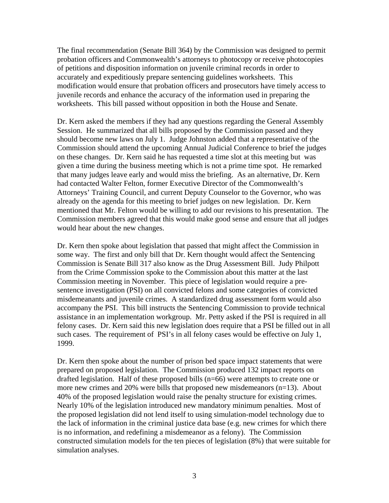The final recommendation (Senate Bill 364) by the Commission was designed to permit probation officers and Commonwealth's attorneys to photocopy or receive photocopies of petitions and disposition information on juvenile criminal records in order to accurately and expeditiously prepare sentencing guidelines worksheets. This modification would ensure that probation officers and prosecutors have timely access to juvenile records and enhance the accuracy of the information used in preparing the worksheets. This bill passed without opposition in both the House and Senate.

Dr. Kern asked the members if they had any questions regarding the General Assembly Session. He summarized that all bills proposed by the Commission passed and they should become new laws on July 1. Judge Johnston added that a representative of the Commission should attend the upcoming Annual Judicial Conference to brief the judges on these changes. Dr. Kern said he has requested a time slot at this meeting but was given a time during the business meeting which is not a prime time spot. He remarked that many judges leave early and would miss the briefing. As an alternative, Dr. Kern had contacted Walter Felton, former Executive Director of the Commonwealth's Attorneys' Training Council, and current Deputy Counselor to the Governor, who was already on the agenda for this meeting to brief judges on new legislation. Dr. Kern mentioned that Mr. Felton would be willing to add our revisions to his presentation. The Commission members agreed that this would make good sense and ensure that all judges would hear about the new changes.

Dr. Kern then spoke about legislation that passed that might affect the Commission in some way. The first and only bill that Dr. Kern thought would affect the Sentencing Commission is Senate Bill 317 also know as the Drug Assessment Bill. Judy Philpott from the Crime Commission spoke to the Commission about this matter at the last Commission meeting in November. This piece of legislation would require a presentence investigation (PSI) on all convicted felons and some categories of convicted misdemeanants and juvenile crimes. A standardized drug assessment form would also accompany the PSI. This bill instructs the Sentencing Commission to provide technical assistance in an implementation workgroup. Mr. Petty asked if the PSI is required in all felony cases. Dr. Kern said this new legislation does require that a PSI be filled out in all such cases. The requirement of PSI's in all felony cases would be effective on July 1, 1999.

Dr. Kern then spoke about the number of prison bed space impact statements that were prepared on proposed legislation. The Commission produced 132 impact reports on drafted legislation. Half of these proposed bills (n=66) were attempts to create one or more new crimes and 20% were bills that proposed new misdemeanors (n=13). About 40% of the proposed legislation would raise the penalty structure for existing crimes. Nearly 10% of the legislation introduced new mandatory minimum penalties. Most of the proposed legislation did not lend itself to using simulation-model technology due to the lack of information in the criminal justice data base (e.g. new crimes for which there is no information, and redefining a misdemeanor as a felony). The Commission constructed simulation models for the ten pieces of legislation (8%) that were suitable for simulation analyses.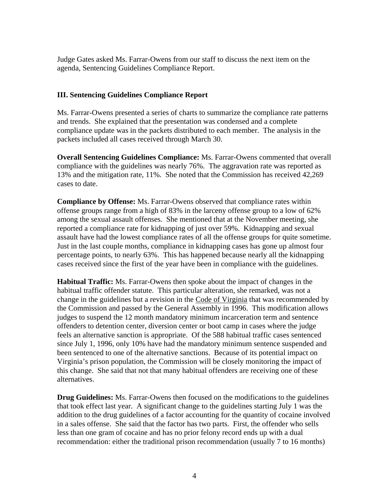Judge Gates asked Ms. Farrar-Owens from our staff to discuss the next item on the agenda, Sentencing Guidelines Compliance Report.

# **III. Sentencing Guidelines Compliance Report**

Ms. Farrar-Owens presented a series of charts to summarize the compliance rate patterns and trends. She explained that the presentation was condensed and a complete compliance update was in the packets distributed to each member. The analysis in the packets included all cases received through March 30.

**Overall Sentencing Guidelines Compliance:** Ms. Farrar-Owens commented that overall compliance with the guidelines was nearly 76%. The aggravation rate was reported as 13% and the mitigation rate, 11%. She noted that the Commission has received 42,269 cases to date.

**Compliance by Offense:** Ms. Farrar-Owens observed that compliance rates within offense groups range from a high of 83% in the larceny offense group to a low of 62% among the sexual assault offenses. She mentioned that at the November meeting, she reported a compliance rate for kidnapping of just over 59%. Kidnapping and sexual assault have had the lowest compliance rates of all the offense groups for quite sometime. Just in the last couple months, compliance in kidnapping cases has gone up almost four percentage points, to nearly 63%. This has happened because nearly all the kidnapping cases received since the first of the year have been in compliance with the guidelines.

**Habitual Traffic:** Ms. Farrar-Owens then spoke about the impact of changes in the habitual traffic offender statute. This particular alteration, she remarked, was not a change in the guidelines but a revision in the Code of Virginia that was recommended by the Commission and passed by the General Assembly in 1996. This modification allows judges to suspend the 12 month mandatory minimum incarceration term and sentence offenders to detention center, diversion center or boot camp in cases where the judge feels an alternative sanction is appropriate. Of the 588 habitual traffic cases sentenced since July 1, 1996, only 10% have had the mandatory minimum sentence suspended and been sentenced to one of the alternative sanctions. Because of its potential impact on Virginia's prison population, the Commission will be closely monitoring the impact of this change. She said that not that many habitual offenders are receiving one of these alternatives.

**Drug Guidelines:** Ms. Farrar-Owens then focused on the modifications to the guidelines that took effect last year. A significant change to the guidelines starting July 1 was the addition to the drug guidelines of a factor accounting for the quantity of cocaine involved in a sales offense. She said that the factor has two parts. First, the offender who sells less than one gram of cocaine and has no prior felony record ends up with a dual recommendation: either the traditional prison recommendation (usually 7 to 16 months)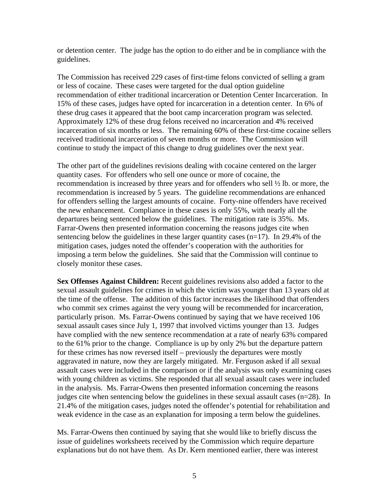or detention center. The judge has the option to do either and be in compliance with the guidelines.

The Commission has received 229 cases of first-time felons convicted of selling a gram or less of cocaine. These cases were targeted for the dual option guideline recommendation of either traditional incarceration or Detention Center Incarceration. In 15% of these cases, judges have opted for incarceration in a detention center. In 6% of these drug cases it appeared that the boot camp incarceration program was selected. Approximately 12% of these drug felons received no incarceration and 4% received incarceration of six months or less. The remaining 60% of these first-time cocaine sellers received traditional incarceration of seven months or more. The Commission will continue to study the impact of this change to drug guidelines over the next year.

The other part of the guidelines revisions dealing with cocaine centered on the larger quantity cases. For offenders who sell one ounce or more of cocaine, the recommendation is increased by three years and for offenders who sell ½ lb. or more, the recommendation is increased by 5 years. The guideline recommendations are enhanced for offenders selling the largest amounts of cocaine. Forty-nine offenders have received the new enhancement. Compliance in these cases is only 55%, with nearly all the departures being sentenced below the guidelines. The mitigation rate is 35%. Ms. Farrar-Owens then presented information concerning the reasons judges cite when sentencing below the guidelines in these larger quantity cases  $(n=17)$ . In 29.4% of the mitigation cases, judges noted the offender's cooperation with the authorities for imposing a term below the guidelines. She said that the Commission will continue to closely monitor these cases.

**Sex Offenses Against Children:** Recent guidelines revisions also added a factor to the sexual assault guidelines for crimes in which the victim was younger than 13 years old at the time of the offense. The addition of this factor increases the likelihood that offenders who commit sex crimes against the very young will be recommended for incarceration, particularly prison. Ms. Farrar-Owens continued by saying that we have received 106 sexual assault cases since July 1, 1997 that involved victims younger than 13. Judges have complied with the new sentence recommendation at a rate of nearly 63% compared to the 61% prior to the change. Compliance is up by only 2% but the departure pattern for these crimes has now reversed itself – previously the departures were mostly aggravated in nature, now they are largely mitigated. Mr. Ferguson asked if all sexual assault cases were included in the comparison or if the analysis was only examining cases with young children as victims. She responded that all sexual assault cases were included in the analysis. Ms. Farrar-Owens then presented information concerning the reasons judges cite when sentencing below the guidelines in these sexual assault cases (n=28). In 21.4% of the mitigation cases, judges noted the offender's potential for rehabilitation and weak evidence in the case as an explanation for imposing a term below the guidelines.

Ms. Farrar-Owens then continued by saying that she would like to briefly discuss the issue of guidelines worksheets received by the Commission which require departure explanations but do not have them. As Dr. Kern mentioned earlier, there was interest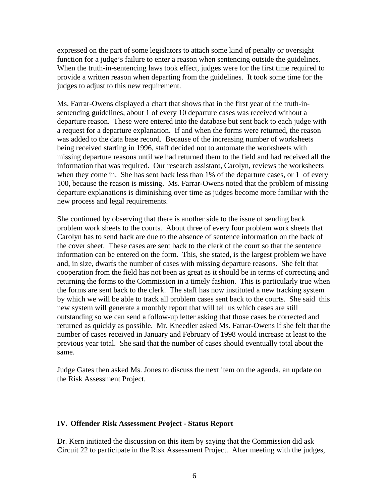expressed on the part of some legislators to attach some kind of penalty or oversight function for a judge's failure to enter a reason when sentencing outside the guidelines. When the truth-in-sentencing laws took effect, judges were for the first time required to provide a written reason when departing from the guidelines. It took some time for the judges to adjust to this new requirement.

Ms. Farrar-Owens displayed a chart that shows that in the first year of the truth-insentencing guidelines, about 1 of every 10 departure cases was received without a departure reason. These were entered into the database but sent back to each judge with a request for a departure explanation. If and when the forms were returned, the reason was added to the data base record. Because of the increasing number of worksheets being received starting in 1996, staff decided not to automate the worksheets with missing departure reasons until we had returned them to the field and had received all the information that was required. Our research assistant, Carolyn, reviews the worksheets when they come in. She has sent back less than 1% of the departure cases, or 1 of every 100, because the reason is missing. Ms. Farrar-Owens noted that the problem of missing departure explanations is diminishing over time as judges become more familiar with the new process and legal requirements.

She continued by observing that there is another side to the issue of sending back problem work sheets to the courts. About three of every four problem work sheets that Carolyn has to send back are due to the absence of sentence information on the back of the cover sheet. These cases are sent back to the clerk of the court so that the sentence information can be entered on the form. This, she stated, is the largest problem we have and, in size, dwarfs the number of cases with missing departure reasons. She felt that cooperation from the field has not been as great as it should be in terms of correcting and returning the forms to the Commission in a timely fashion. This is particularly true when the forms are sent back to the clerk. The staff has now instituted a new tracking system by which we will be able to track all problem cases sent back to the courts. She said this new system will generate a monthly report that will tell us which cases are still outstanding so we can send a follow-up letter asking that those cases be corrected and returned as quickly as possible. Mr. Kneedler asked Ms. Farrar-Owens if she felt that the number of cases received in January and February of 1998 would increase at least to the previous year total. She said that the number of cases should eventually total about the same.

Judge Gates then asked Ms. Jones to discuss the next item on the agenda, an update on the Risk Assessment Project.

#### **IV. Offender Risk Assessment Project - Status Report**

Dr. Kern initiated the discussion on this item by saying that the Commission did ask Circuit 22 to participate in the Risk Assessment Project. After meeting with the judges,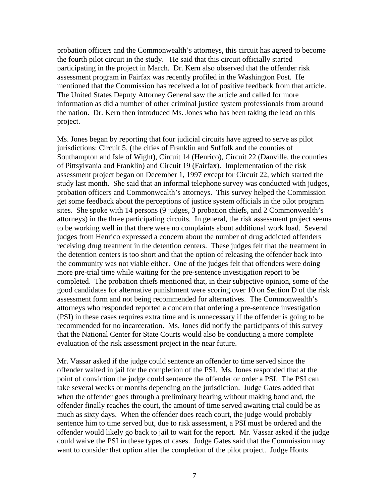probation officers and the Commonwealth's attorneys, this circuit has agreed to become the fourth pilot circuit in the study. He said that this circuit officially started participating in the project in March. Dr. Kern also observed that the offender risk assessment program in Fairfax was recently profiled in the Washington Post. He mentioned that the Commission has received a lot of positive feedback from that article. The United States Deputy Attorney General saw the article and called for more information as did a number of other criminal justice system professionals from around the nation. Dr. Kern then introduced Ms. Jones who has been taking the lead on this project.

Ms. Jones began by reporting that four judicial circuits have agreed to serve as pilot jurisdictions: Circuit 5, (the cities of Franklin and Suffolk and the counties of Southampton and Isle of Wight), Circuit 14 (Henrico), Circuit 22 (Danville, the counties of Pittsylvania and Franklin) and Circuit 19 (Fairfax). Implementation of the risk assessment project began on December 1, 1997 except for Circuit 22, which started the study last month. She said that an informal telephone survey was conducted with judges, probation officers and Commonwealth's attorneys. This survey helped the Commission get some feedback about the perceptions of justice system officials in the pilot program sites. She spoke with 14 persons (9 judges, 3 probation chiefs, and 2 Commonwealth's attorneys) in the three participating circuits. In general, the risk assessment project seems to be working well in that there were no complaints about additional work load. Several judges from Henrico expressed a concern about the number of drug addicted offenders receiving drug treatment in the detention centers. These judges felt that the treatment in the detention centers is too short and that the option of releasing the offender back into the community was not viable either. One of the judges felt that offenders were doing more pre-trial time while waiting for the pre-sentence investigation report to be completed. The probation chiefs mentioned that, in their subjective opinion, some of the good candidates for alternative punishment were scoring over 10 on Section D of the risk assessment form and not being recommended for alternatives. The Commonwealth's attorneys who responded reported a concern that ordering a pre-sentence investigation (PSI) in these cases requires extra time and is unnecessary if the offender is going to be recommended for no incarceration. Ms. Jones did notify the participants of this survey that the National Center for State Courts would also be conducting a more complete evaluation of the risk assessment project in the near future.

Mr. Vassar asked if the judge could sentence an offender to time served since the offender waited in jail for the completion of the PSI. Ms. Jones responded that at the point of conviction the judge could sentence the offender or order a PSI. The PSI can take several weeks or months depending on the jurisdiction. Judge Gates added that when the offender goes through a preliminary hearing without making bond and, the offender finally reaches the court, the amount of time served awaiting trial could be as much as sixty days. When the offender does reach court, the judge would probably sentence him to time served but, due to risk assessment, a PSI must be ordered and the offender would likely go back to jail to wait for the report. Mr. Vassar asked if the judge could waive the PSI in these types of cases. Judge Gates said that the Commission may want to consider that option after the completion of the pilot project. Judge Honts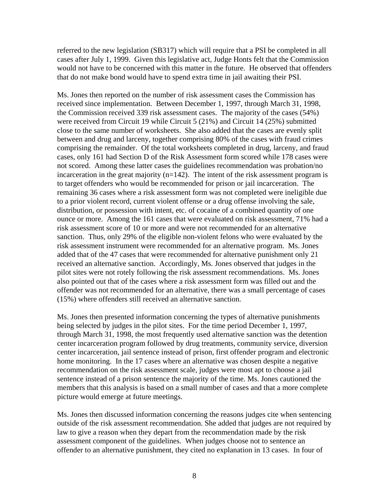referred to the new legislation (SB317) which will require that a PSI be completed in all cases after July 1, 1999. Given this legislative act, Judge Honts felt that the Commission would not have to be concerned with this matter in the future. He observed that offenders that do not make bond would have to spend extra time in jail awaiting their PSI.

Ms. Jones then reported on the number of risk assessment cases the Commission has received since implementation. Between December 1, 1997, through March 31, 1998, the Commission received 339 risk assessment cases. The majority of the cases (54%) were received from Circuit 19 while Circuit 5 (21%) and Circuit 14 (25%) submitted close to the same number of worksheets. She also added that the cases are evenly split between and drug and larceny, together comprising 80% of the cases with fraud crimes comprising the remainder. Of the total worksheets completed in drug, larceny, and fraud cases, only 161 had Section D of the Risk Assessment form scored while 178 cases were not scored. Among these latter cases the guidelines recommendation was probation/no incarceration in the great majority (n=142). The intent of the risk assessment program is to target offenders who would be recommended for prison or jail incarceration. The remaining 36 cases where a risk assessment form was not completed were ineligible due to a prior violent record, current violent offense or a drug offense involving the sale, distribution, or possession with intent, etc. of cocaine of a combined quantity of one ounce or more. Among the 161 cases that were evaluated on risk assessment, 71% had a risk assessment score of 10 or more and were not recommended for an alternative sanction. Thus, only 29% of the eligible non-violent felons who were evaluated by the risk assessment instrument were recommended for an alternative program. Ms. Jones added that of the 47 cases that were recommended for alternative punishment only 21 received an alternative sanction. Accordingly, Ms. Jones observed that judges in the pilot sites were not rotely following the risk assessment recommendations. Ms. Jones also pointed out that of the cases where a risk assessment form was filled out and the offender was not recommended for an alternative, there was a small percentage of cases (15%) where offenders still received an alternative sanction.

Ms. Jones then presented information concerning the types of alternative punishments being selected by judges in the pilot sites. For the time period December 1, 1997, through March 31, 1998, the most frequently used alternative sanction was the detention center incarceration program followed by drug treatments, community service, diversion center incarceration, jail sentence instead of prison, first offender program and electronic home monitoring. In the 17 cases where an alternative was chosen despite a negative recommendation on the risk assessment scale, judges were most apt to choose a jail sentence instead of a prison sentence the majority of the time. Ms. Jones cautioned the members that this analysis is based on a small number of cases and that a more complete picture would emerge at future meetings.

Ms. Jones then discussed information concerning the reasons judges cite when sentencing outside of the risk assessment recommendation. She added that judges are not required by law to give a reason when they depart from the recommendation made by the risk assessment component of the guidelines. When judges choose not to sentence an offender to an alternative punishment, they cited no explanation in 13 cases. In four of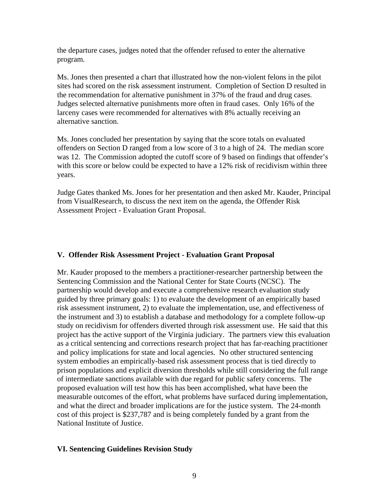the departure cases, judges noted that the offender refused to enter the alternative program.

Ms. Jones then presented a chart that illustrated how the non-violent felons in the pilot sites had scored on the risk assessment instrument. Completion of Section D resulted in the recommendation for alternative punishment in 37% of the fraud and drug cases. Judges selected alternative punishments more often in fraud cases. Only 16% of the larceny cases were recommended for alternatives with 8% actually receiving an alternative sanction.

Ms. Jones concluded her presentation by saying that the score totals on evaluated offenders on Section D ranged from a low score of 3 to a high of 24. The median score was 12. The Commission adopted the cutoff score of 9 based on findings that offender's with this score or below could be expected to have a 12% risk of recidivism within three years.

Judge Gates thanked Ms. Jones for her presentation and then asked Mr. Kauder, Principal from VisualResearch, to discuss the next item on the agenda, the Offender Risk Assessment Project - Evaluation Grant Proposal.

## **V. Offender Risk Assessment Project - Evaluation Grant Proposal**

Mr. Kauder proposed to the members a practitioner-researcher partnership between the Sentencing Commission and the National Center for State Courts (NCSC). The partnership would develop and execute a comprehensive research evaluation study guided by three primary goals: 1) to evaluate the development of an empirically based risk assessment instrument, 2) to evaluate the implementation, use, and effectiveness of the instrument and 3) to establish a database and methodology for a complete follow-up study on recidivism for offenders diverted through risk assessment use. He said that this project has the active support of the Virginia judiciary. The partners view this evaluation as a critical sentencing and corrections research project that has far-reaching practitioner and policy implications for state and local agencies. No other structured sentencing system embodies an empirically-based risk assessment process that is tied directly to prison populations and explicit diversion thresholds while still considering the full range of intermediate sanctions available with due regard for public safety concerns. The proposed evaluation will test how this has been accomplished, what have been the measurable outcomes of the effort, what problems have surfaced during implementation, and what the direct and broader implications are for the justice system. The 24-month cost of this project is \$237,787 and is being completely funded by a grant from the National Institute of Justice.

#### **VI. Sentencing Guidelines Revision Study**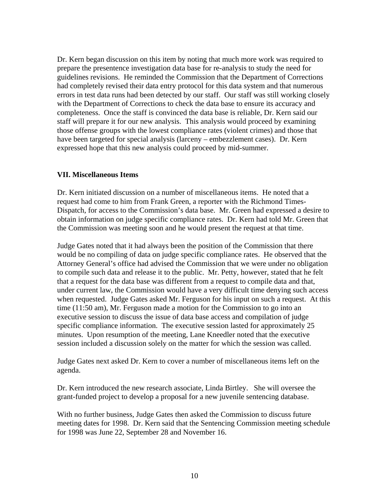Dr. Kern began discussion on this item by noting that much more work was required to prepare the presentence investigation data base for re-analysis to study the need for guidelines revisions. He reminded the Commission that the Department of Corrections had completely revised their data entry protocol for this data system and that numerous errors in test data runs had been detected by our staff. Our staff was still working closely with the Department of Corrections to check the data base to ensure its accuracy and completeness. Once the staff is convinced the data base is reliable, Dr. Kern said our staff will prepare it for our new analysis. This analysis would proceed by examining those offense groups with the lowest compliance rates (violent crimes) and those that have been targeted for special analysis (larceny – embezzlement cases). Dr. Kern expressed hope that this new analysis could proceed by mid-summer.

### **VII. Miscellaneous Items**

Dr. Kern initiated discussion on a number of miscellaneous items. He noted that a request had come to him from Frank Green, a reporter with the Richmond Times-Dispatch, for access to the Commission's data base. Mr. Green had expressed a desire to obtain information on judge specific compliance rates. Dr. Kern had told Mr. Green that the Commission was meeting soon and he would present the request at that time.

Judge Gates noted that it had always been the position of the Commission that there would be no compiling of data on judge specific compliance rates. He observed that the Attorney General's office had advised the Commission that we were under no obligation to compile such data and release it to the public. Mr. Petty, however, stated that he felt that a request for the data base was different from a request to compile data and that, under current law, the Commission would have a very difficult time denying such access when requested. Judge Gates asked Mr. Ferguson for his input on such a request. At this time (11:50 am), Mr. Ferguson made a motion for the Commission to go into an executive session to discuss the issue of data base access and compilation of judge specific compliance information. The executive session lasted for approximately 25 minutes. Upon resumption of the meeting, Lane Kneedler noted that the executive session included a discussion solely on the matter for which the session was called.

Judge Gates next asked Dr. Kern to cover a number of miscellaneous items left on the agenda.

Dr. Kern introduced the new research associate, Linda Birtley. She will oversee the grant-funded project to develop a proposal for a new juvenile sentencing database.

With no further business, Judge Gates then asked the Commission to discuss future meeting dates for 1998. Dr. Kern said that the Sentencing Commission meeting schedule for 1998 was June 22, September 28 and November 16.